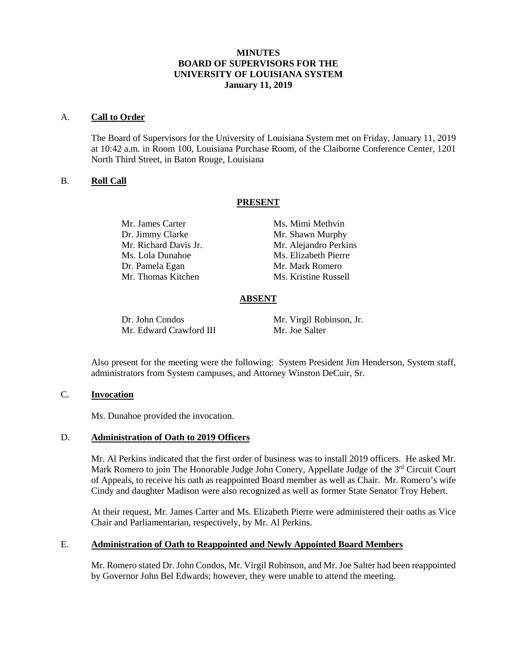# **MINUTES BOARD OF SUPERVISORS FOR THE UNIVERSITY OF LOUISIANA SYSTEM January 11, 2019**

#### A. **Call to Order**

The Board of Supervisors for the University of Louisiana System met on Friday, January 11, 2019 at 10:42 a.m. in Room 100, Louisiana Purchase Room, of the Claiborne Conference Center, 1201 North Third Street, in Baton Rouge, Louisiana

## B. **Roll Call**

## **PRESENT**

Dr. Jimmy Clarke Mr. Shawn Murphy Ms. Lola Dunahoe Ms. Elizabeth Pierre Dr. Pamela Egan Mr. Mark Romero Mr. Thomas Kitchen Ms. Kristine Russell

Mr. James Carter Ms. Mimi Methvin Mr. Richard Davis Jr. Mr. Alejandro Perkins

## **ABSENT**

Dr. John Condos Mr. Virgil Robinson, Jr.<br>Mr. Edward Crawford III Mr. Joe Salter Mr. Edward Crawford III

Also present for the meeting were the following: System President Jim Henderson, System staff, administrators from System campuses, and Attorney Winston DeCuir, Sr.

#### C. **Invocation**

Ms. Dunahoe provided the invocation.

#### D. **Administration of Oath to 2019 Officers**

Mr. Al Perkins indicated that the first order of business was to install 2019 officers. He asked Mr. Mark Romero to join The Honorable Judge John Conery, Appellate Judge of the 3<sup>rd</sup> Circuit Court of Appeals, to receive his oath as reappointed Board member as well as Chair. Mr. Romero's wife Cindy and daughter Madison were also recognized as well as former State Senator Troy Hebert.

At their request, Mr. James Carter and Ms. Elizabeth Pierre were administered their oaths as Vice Chair and Parliamentarian, respectively, by Mr. Al Perkins.

#### E. **Administration of Oath to Reappointed and Newly Appointed Board Members**

Mr. Romero stated Dr. John Condos, Mr. Virgil Robinson, and Mr. Joe Salter had been reappointed by Governor John Bel Edwards; however, they were unable to attend the meeting.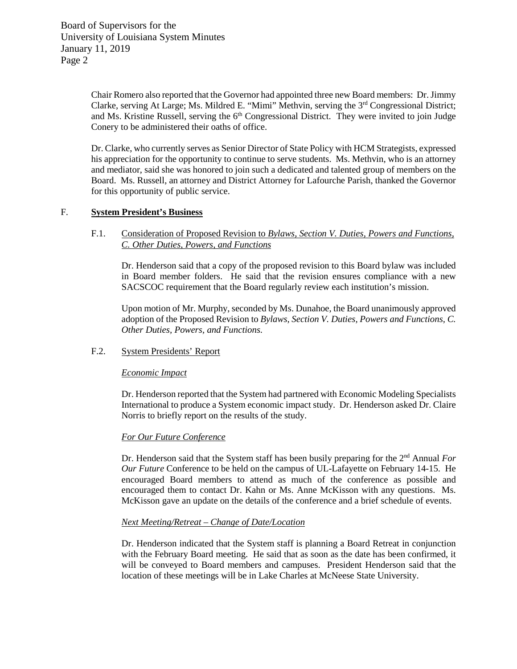Chair Romero also reported that the Governor had appointed three new Board members: Dr. Jimmy Clarke, serving At Large; Ms. Mildred E. "Mimi" Methvin, serving the 3rd Congressional District; and Ms. Kristine Russell, serving the  $6<sup>th</sup>$  Congressional District. They were invited to join Judge Conery to be administered their oaths of office.

Dr. Clarke, who currently serves as Senior Director of State Policy with HCM Strategists, expressed his appreciation for the opportunity to continue to serve students. Ms. Methvin, who is an attorney and mediator, said she was honored to join such a dedicated and talented group of members on the Board. Ms. Russell, an attorney and District Attorney for Lafourche Parish, thanked the Governor for this opportunity of public service.

## F. **System President's Business**

## F.1. Consideration of Proposed Revision to *Bylaws, Section V. Duties, Powers and Functions, C. Other Duties, Powers, and Functions*

Dr. Henderson said that a copy of the proposed revision to this Board bylaw was included in Board member folders. He said that the revision ensures compliance with a new SACSCOC requirement that the Board regularly review each institution's mission.

Upon motion of Mr. Murphy, seconded by Ms. Dunahoe, the Board unanimously approved adoption of the Proposed Revision to *Bylaws, Section V. Duties, Powers and Functions, C. Other Duties, Powers, and Functions.*

## F.2. System Presidents' Report

#### *Economic Impact*

Dr. Henderson reported that the System had partnered with Economic Modeling Specialists International to produce a System economic impact study. Dr. Henderson asked Dr. Claire Norris to briefly report on the results of the study.

## *For Our Future Conference*

Dr. Henderson said that the System staff has been busily preparing for the 2<sup>nd</sup> Annual *For Our Future* Conference to be held on the campus of UL-Lafayette on February 14-15. He encouraged Board members to attend as much of the conference as possible and encouraged them to contact Dr. Kahn or Ms. Anne McKisson with any questions. Ms. McKisson gave an update on the details of the conference and a brief schedule of events.

#### *Next Meeting/Retreat – Change of Date/Location*

Dr. Henderson indicated that the System staff is planning a Board Retreat in conjunction with the February Board meeting. He said that as soon as the date has been confirmed, it will be conveyed to Board members and campuses. President Henderson said that the location of these meetings will be in Lake Charles at McNeese State University.